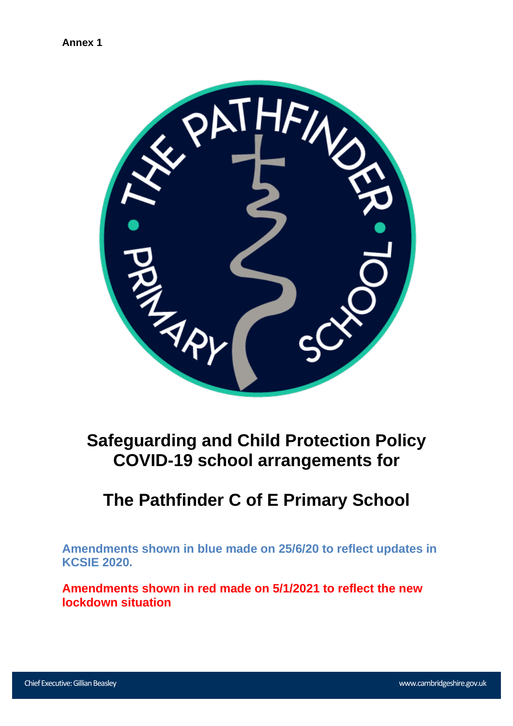

# **Safeguarding and Child Protection Policy COVID-19 school arrangements for**

# **The Pathfinder C of E Primary School**

**Amendments shown in blue made on 25/6/20 to reflect updates in KCSIE 2020.**

**Amendments shown in red made on 5/1/2021 to reflect the new lockdown situation**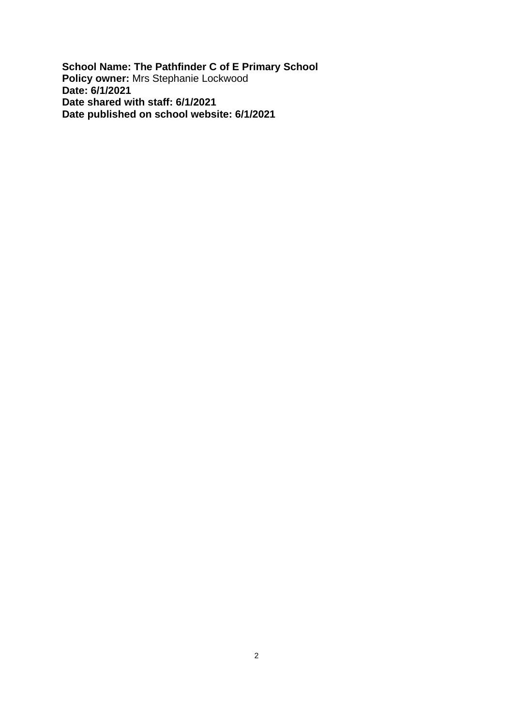**School Name: The Pathfinder C of E Primary School Policy owner:** Mrs Stephanie Lockwood **Date: 6/1/2021 Date shared with staff: 6/1/2021 Date published on school website: 6/1/2021**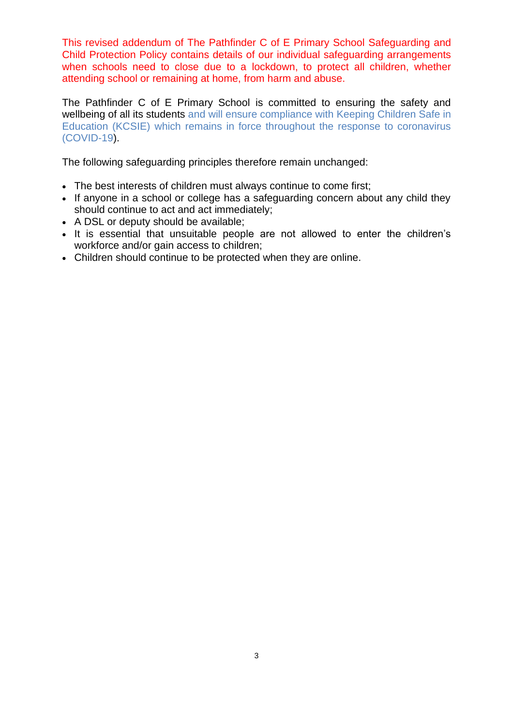This revised addendum of The Pathfinder C of E Primary School Safeguarding and Child Protection Policy contains details of our individual safeguarding arrangements when schools need to close due to a lockdown, to protect all children, whether attending school or remaining at home, from harm and abuse.

The Pathfinder C of E Primary School is committed to ensuring the safety and wellbeing of all its students and will ensure compliance with Keeping Children Safe in Education (KCSIE) which remains in force throughout the response to coronavirus (COVID-19).

The following safeguarding principles therefore remain unchanged:

- The best interests of children must always continue to come first;
- If anyone in a school or college has a safeguarding concern about any child they should continue to act and act immediately;
- A DSL or deputy should be available;
- It is essential that unsuitable people are not allowed to enter the children's workforce and/or gain access to children;
- Children should continue to be protected when they are online.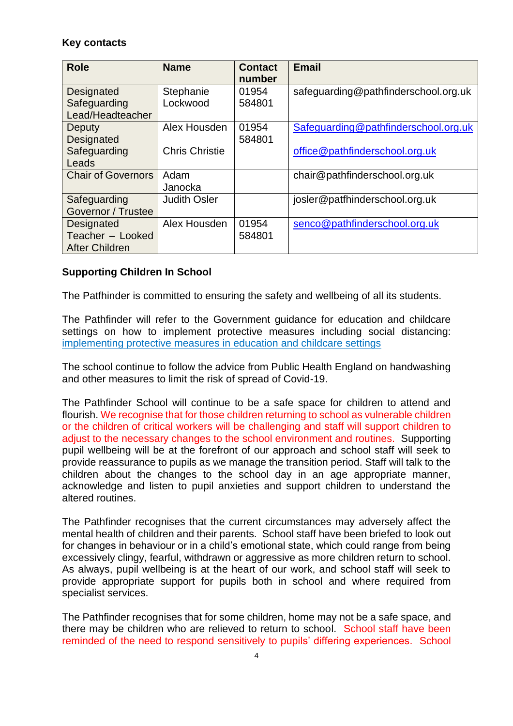# **Key contacts**

| <b>Role</b>                | <b>Name</b>           | <b>Contact</b><br>number | <b>Email</b>                         |
|----------------------------|-----------------------|--------------------------|--------------------------------------|
| Designated<br>Safeguarding | Stephanie<br>Lockwood | 01954<br>584801          | safeguarding@pathfinderschool.org.uk |
| Lead/Headteacher           |                       |                          |                                      |
| Deputy                     | Alex Housden          | 01954                    | Safeguarding@pathfinderschool.org.uk |
| Designated                 |                       | 584801                   |                                      |
| Safeguarding               | <b>Chris Christie</b> |                          | office@pathfinderschool.org.uk       |
| Leads                      |                       |                          |                                      |
| <b>Chair of Governors</b>  | Adam                  |                          | chair@pathfinderschool.org.uk        |
|                            | Janocka               |                          |                                      |
| Safeguarding               | <b>Judith Osler</b>   |                          | josler@patfhinderschool.org.uk       |
| Governor / Trustee         |                       |                          |                                      |
| <b>Designated</b>          | Alex Housden          | 01954                    | senco@pathfinderschool.org.uk        |
| Teacher - Looked           |                       | 584801                   |                                      |
| <b>After Children</b>      |                       |                          |                                      |

# **Supporting Children In School**

The Patfhinder is committed to ensuring the safety and wellbeing of all its students.

The Pathfinder will refer to the Government guidance for education and childcare settings on how to implement protective measures including social distancing: [implementing protective measures in education and childcare settings](https://www.gov.uk/government/publications/coronavirus-covid-19-implementing-protective-measures-in-education-and-childcare-settings)

The school continue to follow the advice from Public Health England on handwashing and other measures to limit the risk of spread of Covid-19.

The Pathfinder School will continue to be a safe space for children to attend and flourish. We recognise that for those children returning to school as vulnerable children or the children of critical workers will be challenging and staff will support children to adjust to the necessary changes to the school environment and routines. Supporting pupil wellbeing will be at the forefront of our approach and school staff will seek to provide reassurance to pupils as we manage the transition period. Staff will talk to the children about the changes to the school day in an age appropriate manner, acknowledge and listen to pupil anxieties and support children to understand the altered routines.

The Pathfinder recognises that the current circumstances may adversely affect the mental health of children and their parents. School staff have been briefed to look out for changes in behaviour or in a child's emotional state, which could range from being excessively clingy, fearful, withdrawn or aggressive as more children return to school. As always, pupil wellbeing is at the heart of our work, and school staff will seek to provide appropriate support for pupils both in school and where required from specialist services.

The Pathfinder recognises that for some children, home may not be a safe space, and there may be children who are relieved to return to school. School staff have been reminded of the need to respond sensitively to pupils' differing experiences. School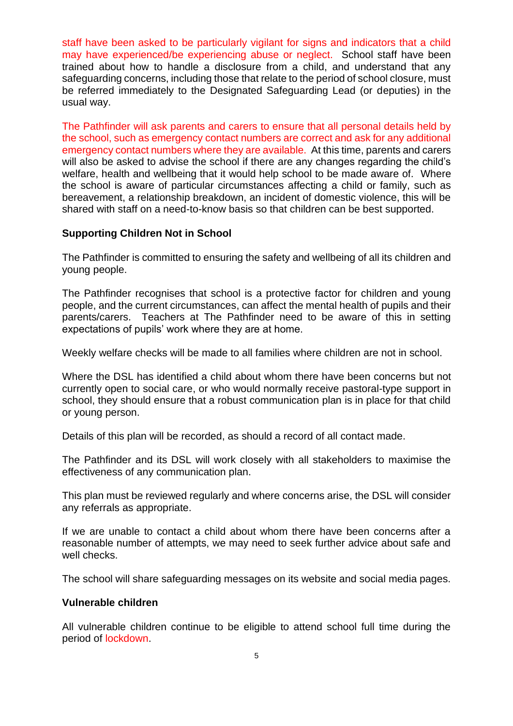staff have been asked to be particularly vigilant for signs and indicators that a child may have experienced/be experiencing abuse or neglect. School staff have been trained about how to handle a disclosure from a child, and understand that any safeguarding concerns, including those that relate to the period of school closure, must be referred immediately to the Designated Safeguarding Lead (or deputies) in the usual way.

The Pathfinder will ask parents and carers to ensure that all personal details held by the school, such as emergency contact numbers are correct and ask for any additional emergency contact numbers where they are available. At this time, parents and carers will also be asked to advise the school if there are any changes regarding the child's welfare, health and wellbeing that it would help school to be made aware of. Where the school is aware of particular circumstances affecting a child or family, such as bereavement, a relationship breakdown, an incident of domestic violence, this will be shared with staff on a need-to-know basis so that children can be best supported.

## **Supporting Children Not in School**

The Pathfinder is committed to ensuring the safety and wellbeing of all its children and young people.

The Pathfinder recognises that school is a protective factor for children and young people, and the current circumstances, can affect the mental health of pupils and their parents/carers. Teachers at The Pathfinder need to be aware of this in setting expectations of pupils' work where they are at home.

Weekly welfare checks will be made to all families where children are not in school.

Where the DSL has identified a child about whom there have been concerns but not currently open to social care, or who would normally receive pastoral-type support in school, they should ensure that a robust communication plan is in place for that child or young person.

Details of this plan will be recorded, as should a record of all contact made.

The Pathfinder and its DSL will work closely with all stakeholders to maximise the effectiveness of any communication plan.

This plan must be reviewed regularly and where concerns arise, the DSL will consider any referrals as appropriate.

If we are unable to contact a child about whom there have been concerns after a reasonable number of attempts, we may need to seek further advice about safe and well checks.

The school will share safeguarding messages on its website and social media pages.

#### **Vulnerable children**

All vulnerable children continue to be eligible to attend school full time during the period of lockdown.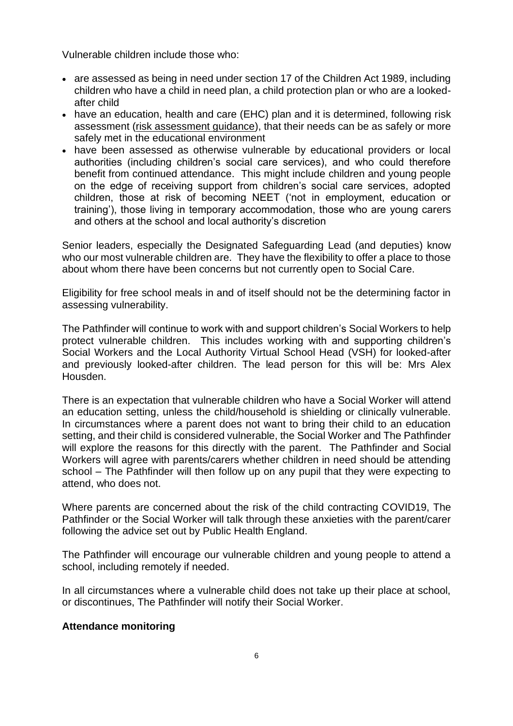Vulnerable children include those who:

- are assessed as being in need under section 17 of the Children Act 1989, including children who have a child in need plan, a child protection plan or who are a lookedafter child
- have an education, health and care (EHC) plan and it is determined, following risk assessment [\(risk assessment guidance\)](https://www.gov.uk/government/publications/coronavirus-covid-19-send-risk-assessment-guidance/coronavirus-covid-19-send-risk-assessment-guidance), that their needs can be as safely or more safely met in the educational environment
- have been assessed as otherwise vulnerable by educational providers or local authorities (including children's social care services), and who could therefore benefit from continued attendance. This might include children and young people on the edge of receiving support from children's social care services, adopted children, those at risk of becoming NEET ('not in employment, education or training'), those living in temporary accommodation, those who are young carers and others at the school and local authority's discretion

Senior leaders, especially the Designated Safeguarding Lead (and deputies) know who our most vulnerable children are. They have the flexibility to offer a place to those about whom there have been concerns but not currently open to Social Care.

Eligibility for free school meals in and of itself should not be the determining factor in assessing vulnerability.

The Pathfinder will continue to work with and support children's Social Workers to help protect vulnerable children. This includes working with and supporting children's Social Workers and the Local Authority Virtual School Head (VSH) for looked-after and previously looked-after children. The lead person for this will be: Mrs Alex Housden.

There is an expectation that vulnerable children who have a Social Worker will attend an education setting, unless the child/household is shielding or clinically vulnerable. In circumstances where a parent does not want to bring their child to an education setting, and their child is considered vulnerable, the Social Worker and The Pathfinder will explore the reasons for this directly with the parent. The Pathfinder and Social Workers will agree with parents/carers whether children in need should be attending school – The Pathfinder will then follow up on any pupil that they were expecting to attend, who does not.

Where parents are concerned about the risk of the child contracting COVID19, The Pathfinder or the Social Worker will talk through these anxieties with the parent/carer following the advice set out by Public Health England.

The Pathfinder will encourage our vulnerable children and young people to attend a school, including remotely if needed.

In all circumstances where a vulnerable child does not take up their place at school, or discontinues, The Pathfinder will notify their Social Worker.

# **Attendance monitoring**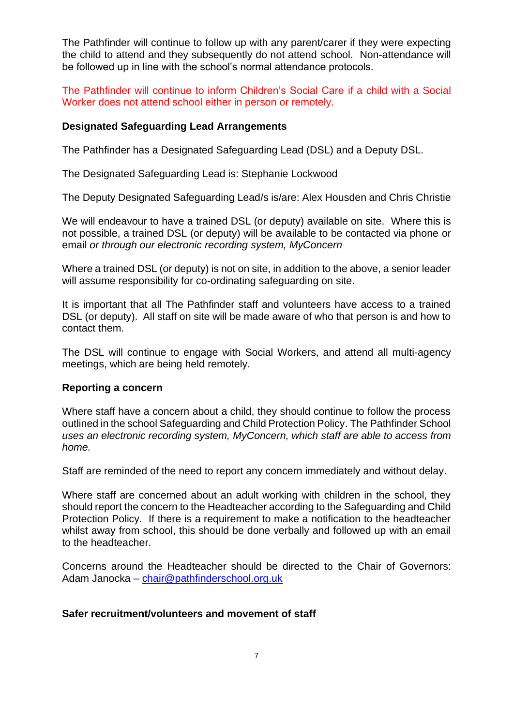The Pathfinder will continue to follow up with any parent/carer if they were expecting the child to attend and they subsequently do not attend school. Non-attendance will be followed up in line with the school's normal attendance protocols.

The Pathfinder will continue to inform Children's Social Care if a child with a Social Worker does not attend school either in person or remotely.

# **Designated Safeguarding Lead Arrangements**

The Pathfinder has a Designated Safeguarding Lead (DSL) and a Deputy DSL.

The Designated Safeguarding Lead is: Stephanie Lockwood

The Deputy Designated Safeguarding Lead/s is/are: Alex Housden and Chris Christie

We will endeavour to have a trained DSL (or deputy) available on site. Where this is not possible, a trained DSL (or deputy) will be available to be contacted via phone or email *or through our electronic recording system, MyConcern* 

Where a trained DSL (or deputy) is not on site, in addition to the above, a senior leader will assume responsibility for co-ordinating safeguarding on site.

It is important that all The Pathfinder staff and volunteers have access to a trained DSL (or deputy). All staff on site will be made aware of who that person is and how to contact them.

The DSL will continue to engage with Social Workers, and attend all multi-agency meetings, which are being held remotely.

#### **Reporting a concern**

Where staff have a concern about a child, they should continue to follow the process outlined in the school Safeguarding and Child Protection Policy. The Pathfinder School *uses an electronic recording system, MyConcern, which staff are able to access from home.*

Staff are reminded of the need to report any concern immediately and without delay.

Where staff are concerned about an adult working with children in the school, they should report the concern to the Headteacher according to the Safeguarding and Child Protection Policy. If there is a requirement to make a notification to the headteacher whilst away from school, this should be done verbally and followed up with an email to the headteacher.

Concerns around the Headteacher should be directed to the Chair of Governors: Adam Janocka – [chair@pathfinderschool.org.uk](mailto:chair@pathfinderschool.org.uk)

#### **Safer recruitment/volunteers and movement of staff**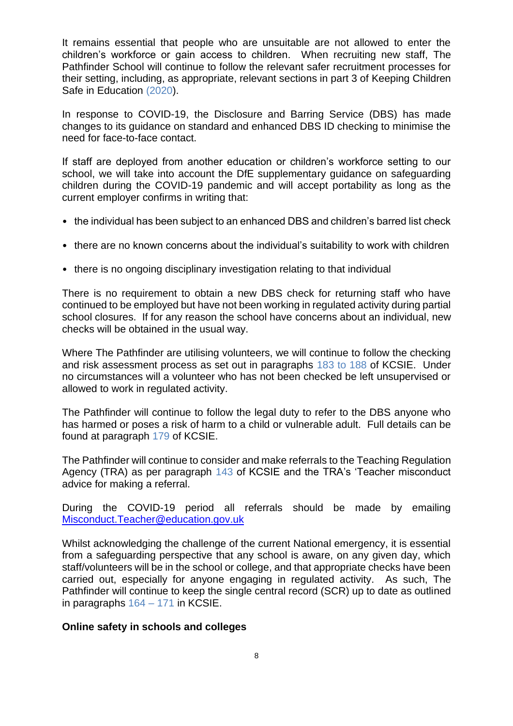It remains essential that people who are unsuitable are not allowed to enter the children's workforce or gain access to children. When recruiting new staff, The Pathfinder School will continue to follow the relevant safer recruitment processes for their setting, including, as appropriate, relevant sections in part 3 of Keeping Children Safe in Education (2020).

In response to COVID-19, the Disclosure and Barring Service (DBS) has made changes to its guidance on standard and enhanced DBS ID checking to minimise the need for face-to-face contact.

If staff are deployed from another education or children's workforce setting to our school, we will take into account the DfE supplementary guidance on safeguarding children during the COVID-19 pandemic and will accept portability as long as the current employer confirms in writing that:

- the individual has been subject to an enhanced DBS and children's barred list check
- there are no known concerns about the individual's suitability to work with children
- there is no ongoing disciplinary investigation relating to that individual

There is no requirement to obtain a new DBS check for returning staff who have continued to be employed but have not been working in regulated activity during partial school closures. If for any reason the school have concerns about an individual, new checks will be obtained in the usual way.

Where The Pathfinder are utilising volunteers, we will continue to follow the checking and risk assessment process as set out in paragraphs 183 to 188 of KCSIE. Under no circumstances will a volunteer who has not been checked be left unsupervised or allowed to work in regulated activity.

The Pathfinder will continue to follow the legal duty to refer to the DBS anyone who has harmed or poses a risk of harm to a child or vulnerable adult. Full details can be found at paragraph 179 of KCSIE.

The Pathfinder will continue to consider and make referrals to the Teaching Regulation Agency (TRA) as per paragraph 143 of KCSIE and the TRA's 'Teacher misconduct advice for making a referral.

During the COVID-19 period all referrals should be made by emailing [Misconduct.Teacher@education.gov.uk](mailto:Misconduct.Teacher@education.gov.uk)

Whilst acknowledging the challenge of the current National emergency, it is essential from a safeguarding perspective that any school is aware, on any given day, which staff/volunteers will be in the school or college, and that appropriate checks have been carried out, especially for anyone engaging in regulated activity. As such, The Pathfinder will continue to keep the single central record (SCR) up to date as outlined in paragraphs  $164 - 171$  in KCSIE.

#### **Online safety in schools and colleges**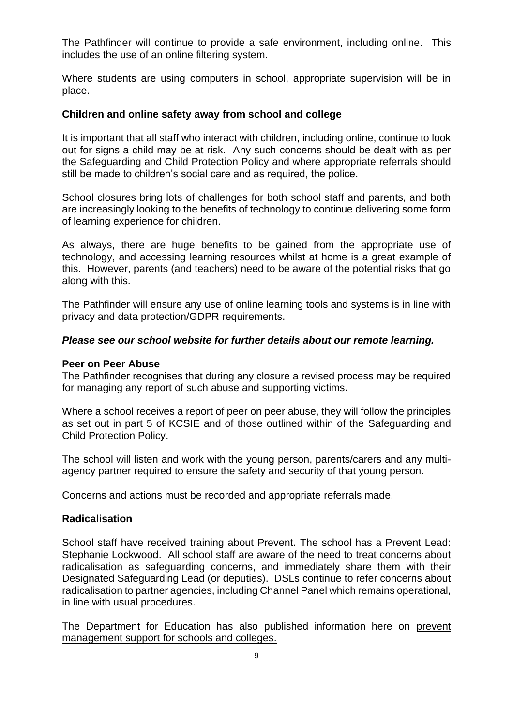The Pathfinder will continue to provide a safe environment, including online. This includes the use of an online filtering system.

Where students are using computers in school, appropriate supervision will be in place.

## **Children and online safety away from school and college**

It is important that all staff who interact with children, including online, continue to look out for signs a child may be at risk. Any such concerns should be dealt with as per the Safeguarding and Child Protection Policy and where appropriate referrals should still be made to children's social care and as required, the police.

School closures bring lots of challenges for both school staff and parents, and both are increasingly looking to the benefits of technology to continue delivering some form of learning experience for children.

As always, there are huge benefits to be gained from the appropriate use of technology, and accessing learning resources whilst at home is a great example of this. However, parents (and teachers) need to be aware of the potential risks that go along with this.

The Pathfinder will ensure any use of online learning tools and systems is in line with privacy and data protection/GDPR requirements.

## *Please see our school website for further details about our remote learning.*

#### **Peer on Peer Abuse**

The Pathfinder recognises that during any closure a revised process may be required for managing any report of such abuse and supporting victims**.** 

Where a school receives a report of peer on peer abuse, they will follow the principles as set out in part 5 of KCSIE and of those outlined within of the Safeguarding and Child Protection Policy.

The school will listen and work with the young person, parents/carers and any multiagency partner required to ensure the safety and security of that young person.

Concerns and actions must be recorded and appropriate referrals made.

#### **Radicalisation**

School staff have received training about Prevent. The school has a Prevent Lead: Stephanie Lockwood. All school staff are aware of the need to treat concerns about radicalisation as safeguarding concerns, and immediately share them with their Designated Safeguarding Lead (or deputies). DSLs continue to refer concerns about radicalisation to partner agencies, including Channel Panel which remains operational, in line with usual procedures.

The Department for Education has also published information here on [prevent](https://educateagainsthate.com/blog/posts/school-closures-ongoing-prevent-management-support/)  [management support for schools and colleges.](https://educateagainsthate.com/blog/posts/school-closures-ongoing-prevent-management-support/)